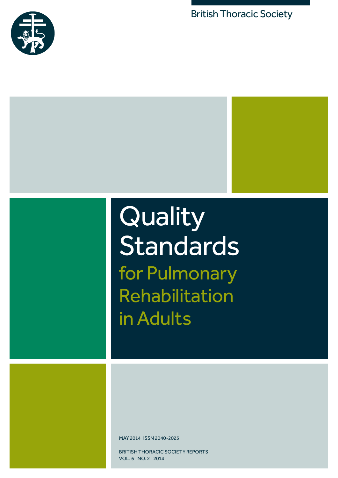British Thoracic Society



# **Quality** Standards for Pulmonary Rehabilitation in Adults

MAY 2014 ISSN 2040-2023

BRITISH THORACIC SOCIETY REPORTS VOL. 6 NO. 2 2014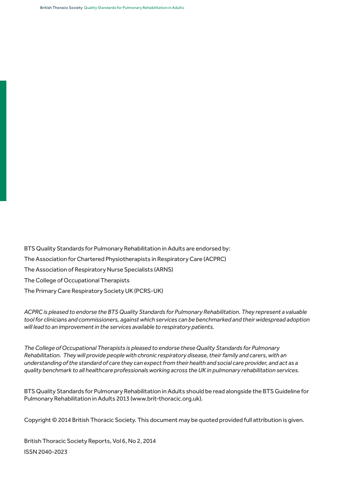BTS Quality Standards for Pulmonary Rehabilitation in Adults are endorsed by: The Association for Chartered Physiotherapists in Respiratory Care (ACPRC) The Association of Respiratory Nurse Specialists (ARNS) The College of Occupational Therapists The Primary Care Respiratory Society UK (PCRS-UK)

*ACPRC is pleased to endorse the BTS Quality Standards for Pulmonary Rehabilitation. They represent a valuable tool for clinicians and commissioners, against which services can be benchmarked and their widespread adoption will lead to an improvement in the services available to respiratory patients.*

*The College of Occupational Therapists is pleased to endorse these Quality Standards for Pulmonary Rehabilitation. They will provide people with chronic respiratory disease, their family and carers, with an understanding of the standard of care they can expect from their health and social care provider, and act as a quality benchmark to all healthcare professionals working across the UK in pulmonary rehabilitation services.*

BTS Quality Standards for Pulmonary Rehabilitation in Adults should be read alongside the BTS Guideline for Pulmonary Rehabilitation in Adults 2013 (www.brit-thoracic.org.uk).

Copyright © 2014 British Thoracic Society. This document may be quoted provided full attribution is given.

British Thoracic Society Reports, Vol 6, No 2, 2014 ISSN 2040-2023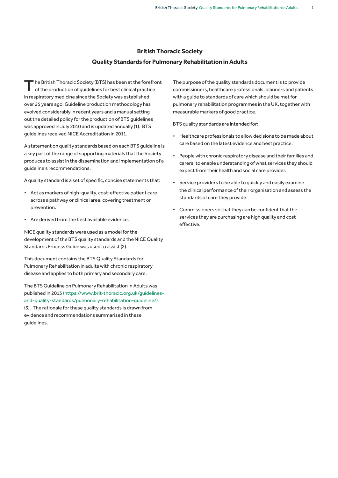1

#### **British Thoracic Society**

#### **Quality Standards for Pulmonary Rehabilitation in Adults**

The British Thoracic Society (BTS) has been at the forefront of the production of guidelines for best clinical practice in respiratory medicine since the Society was established over 25 years ago. Guideline production methodology has evolved considerably in recent years and a manual setting out the detailed policy for the production of BTS guidelines was approved in July 2010 and is updated annually (1). BTS guidelines received NICE Accreditation in 2011.

A statement on quality standards based on each BTS guideline is a key part of the range of supporting materials that the Society produces to assist in the dissemination and implementation of a guideline's recommendations.

A quality standard is a set of specific, concise statements that:

- Act as markers of high-quality, cost-effective patient care across a pathway or clinical area, covering treatment or prevention.
- Are derived from the best available evidence.

NICE quality standards were used as a model for the development of the BTS quality standards and the NICE Quality Standards Process Guide was used to assist (2).

This document contains the BTS Quality Standards for Pulmonary Rehabilitation in adults with chronic respiratory disease and applies to both primary and secondary care.

The BTS Guideline on Pulmonary Rehabilitation in Adults was published in 2013 (https://www.brit-thoracic.org.uk/guidelinesand-quality-standards/pulmonary-rehabilitation-guideline/) (3). The rationale for these quality standards is drawn from evidence and recommendations summarised in these guidelines.

The purpose of the quality standards document is to provide commissioners, healthcare professionals, planners and patients with a guide to standards of care which should be met for pulmonary rehabilitation programmes in the UK, together with measurable markers of good practice.

BTS quality standards are intended for:

- Healthcare professionals to allow decisions to be made about care based on the latest evidence and best practice.
- People with chronic respiratory disease and their families and carers, to enable understanding of what services they should expect from their health and social care provider.
- Service providers to be able to quickly and easily examine the clinical performance of their organisation and assess the standards of care they provide.
- Commissioners so that they can be confident that the services they are purchasing are high quality and cost effective.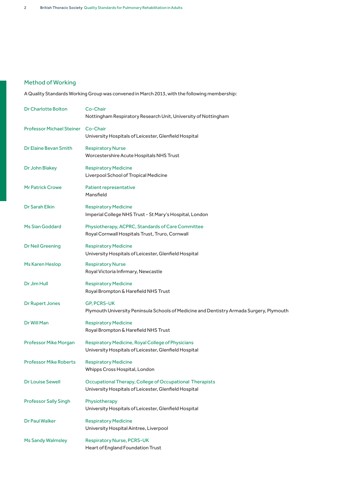# Method of Working

A Quality Standards Working Group was convened in March 2013, with the following membership:

| <b>Dr Charlotte Bolton</b>       | Co-Chair<br>Nottingham Respiratory Research Unit, University of Nottingham                                        |
|----------------------------------|-------------------------------------------------------------------------------------------------------------------|
| <b>Professor Michael Steiner</b> | Co-Chair<br>University Hospitals of Leicester, Glenfield Hospital                                                 |
| <b>Dr Elaine Bevan Smith</b>     | <b>Respiratory Nurse</b><br>Worcestershire Acute Hospitals NHS Trust                                              |
| Dr John Blakey                   | <b>Respiratory Medicine</b><br>Liverpool School of Tropical Medicine                                              |
| <b>Mr Patrick Crowe</b>          | Patient representative<br>Mansfield                                                                               |
| Dr Sarah Elkin                   | <b>Respiratory Medicine</b><br>Imperial College NHS Trust - St Mary's Hospital, London                            |
| <b>Ms Sian Goddard</b>           | Physiotherapy, ACPRC, Standards of Care Committee<br>Royal Cornwall Hospitals Trust, Truro, Cornwall              |
| <b>Dr Neil Greening</b>          | <b>Respiratory Medicine</b><br>University Hospitals of Leicester, Glenfield Hospital                              |
| <b>Ms Karen Heslop</b>           | <b>Respiratory Nurse</b><br>Royal Victoria Infirmary, Newcastle                                                   |
| Dr Jim Hull                      | <b>Respiratory Medicine</b><br>Royal Brompton & Harefield NHS Trust                                               |
| <b>Dr Rupert Jones</b>           | <b>GP, PCRS-UK</b><br>Plymouth University Peninsula Schools of Medicine and Dentistry Armada Surgery, Plymouth    |
| Dr Will Man                      | <b>Respiratory Medicine</b><br>Royal Brompton & Harefield NHS Trust                                               |
| <b>Professor Mike Morgan</b>     | Respiratory Medicine, Royal College of Physicians<br>University Hospitals of Leicester, Glenfield Hospital        |
| <b>Professor Mike Roberts</b>    | <b>Respiratory Medicine</b><br>Whipps Cross Hospital, London                                                      |
| <b>Dr Louise Sewell</b>          | Occupational Therapy, College of Occupational Therapists<br>University Hospitals of Leicester, Glenfield Hospital |
| <b>Professor Sally Singh</b>     | Physiotherapy<br>University Hospitals of Leicester, Glenfield Hospital                                            |
| <b>Dr Paul Walker</b>            | <b>Respiratory Medicine</b><br>University Hospital Aintree, Liverpool                                             |
| <b>Ms Sandy Walmsley</b>         | <b>Respiratory Nurse, PCRS-UK</b><br>Heart of England Foundation Trust                                            |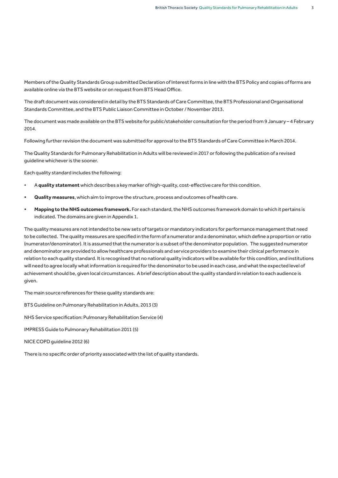Members of the Quality Standards Group submitted Declaration of Interest forms in line with the BTS Policy and copies of forms are available online via the BTS website or on request from BTS Head Office.

The draft document was considered in detail by the BTS Standards of Care Committee, the BTS Professional and Organisational Standards Committee, and the BTS Public Liaison Committee in October / November 2013.

The document was made available on the BTS website for public/stakeholder consultation for the period from 9 January – 4 February 2014.

Following further revision the document was submitted for approval to the BTS Standards of Care Committee in March 2014.

The Quality Standards for Pulmonary Rehabilitation in Adults will be reviewed in 2017 or following the publication of a revised guideline whichever is the sooner.

Each quality standard includes the following:

- A **quality statement** which describes a key marker of high-quality, cost-effective care for this condition.
- **• Quality measures**, which aim to improve the structure, process and outcomes of health care.
- **• Mapping to the NHS outcomes framework.** For each standard, the NHS outcomes framework domain to which it pertains is indicated. The domains are given in Appendix 1.

The quality measures are not intended to be new sets of targets or mandatory indicators for performance management that need to be collected. The quality measures are specified in the form of a numerator and a denominator, which define a proportion or ratio (numerator/denominator). It is assumed that the numerator is a subset of the denominator population. The suggested numerator and denominator are provided to allow healthcare professionals and service providers to examine their clinical performance in relation to each quality standard. It is recognised that no national quality indicators will be available for this condition, and institutions will need to agree locally what information is required for the denominator to be used in each case, and what the expected level of achievement should be, given local circumstances. A brief description about the quality standard in relation to each audience is given.

The main source references for these quality standards are:

BTS Guideline on Pulmonary Rehabilitation in Adults, 2013 (3)

NHS Service specification: Pulmonary Rehabilitation Service (4)

IMPRESS Guide to Pulmonary Rehabilitation 2011 (5)

NICE COPD guideline 2012 (6)

There is no specific order of priority associated with the list of quality standards.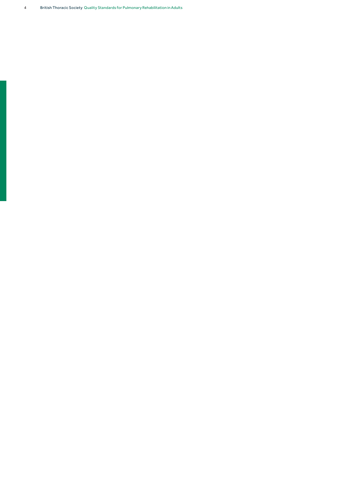British Thoracic Society Quality Standards for Pulmonary Rehabilitation in Adults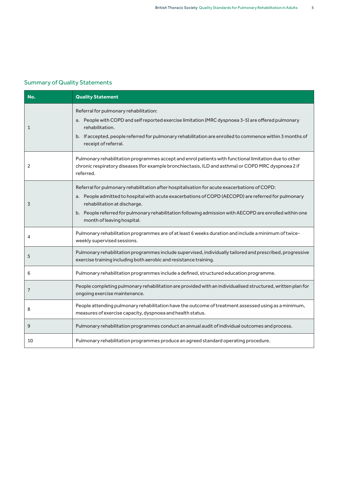# Summary of Quality Statements

| No. | <b>Quality Statement</b>                                                                                                                                                                                                                                                                                                                                                     |
|-----|------------------------------------------------------------------------------------------------------------------------------------------------------------------------------------------------------------------------------------------------------------------------------------------------------------------------------------------------------------------------------|
| 1   | Referral for pulmonary rehabilitation:<br>a. People with COPD and self reported exercise limitation (MRC dyspnoea 3-5) are offered pulmonary<br>rehabilitation.<br>b. If accepted, people referred for pulmonary rehabilitation are enrolled to commence within 3 months of<br>receipt of referral.                                                                          |
| 2   | Pulmonary rehabilitation programmes accept and enrol patients with functional limitation due to other<br>chronic respiratory diseases (for example bronchiectasis, ILD and asthma) or COPD MRC dyspnoea 2 if<br>referred.                                                                                                                                                    |
| 3   | Referral for pulmonary rehabilitation after hospitalisation for acute exacerbations of COPD:<br>a. People admitted to hospital with acute exacerbations of COPD (AECOPD) are referred for pulmonary<br>rehabilitation at discharge.<br>b. People referred for pulmonary rehabilitation following admission with AECOPD are enrolled within one<br>month of leaving hospital. |
| 4   | Pulmonary rehabilitation programmes are of at least 6 weeks duration and include a minimum of twice-<br>weekly supervised sessions.                                                                                                                                                                                                                                          |
| 5   | Pulmonary rehabilitation programmes include supervised, individually tailored and prescribed, progressive<br>exercise training including both aerobic and resistance training.                                                                                                                                                                                               |
| 6   | Pulmonary rehabilitation programmes include a defined, structured education programme.                                                                                                                                                                                                                                                                                       |
| 7   | People completing pulmonary rehabilitation are provided with an individualised structured, written plan for<br>ongoing exercise maintenance.                                                                                                                                                                                                                                 |
| 8   | People attending pulmonary rehabilitation have the outcome of treatment assessed using as a minimum,<br>measures of exercise capacity, dyspnoea and health status.                                                                                                                                                                                                           |
| 9   | Pulmonary rehabilitation programmes conduct an annual audit of individual outcomes and process.                                                                                                                                                                                                                                                                              |
| 10  | Pulmonary rehabilitation programmes produce an agreed standard operating procedure.                                                                                                                                                                                                                                                                                          |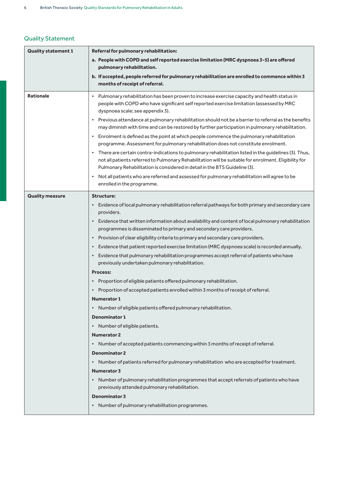| a. People with COPD and self reported exercise limitation (MRC dyspnoea 3-5) are offered<br>pulmonary rehabilitation.                                                                                   |
|---------------------------------------------------------------------------------------------------------------------------------------------------------------------------------------------------------|
|                                                                                                                                                                                                         |
|                                                                                                                                                                                                         |
| b. If accepted, people referred for pulmonary rehabilitation are enrolled to commence within 3                                                                                                          |
| months of receipt of referral.                                                                                                                                                                          |
| <b>Rationale</b><br>Pulmonary rehabilitation has been proven to increase exercise capacity and health status in                                                                                         |
| people with COPD who have significant self reported exercise limitation (assessed by MRC                                                                                                                |
| dyspnoea scale; see appendix 3).                                                                                                                                                                        |
| Previous attendance at pulmonary rehabilitation should not be a barrier to referral as the benefits<br>may diminish with time and can be restored by further participation in pulmonary rehabilitation. |
| Enrolment is defined as the point at which people commence the pulmonary rehabilitation<br>programme. Assessment for pulmonary rehabilitation does not constitute enrolment.                            |
| There are certain contra-indications to pulmonary rehabilitation listed in the guidelines (3). Thus,                                                                                                    |
| not all patients referred to Pulmonary Rehabilitation will be suitable for enrolment. Eligibility for<br>Pulmonary Rehabilitation is considered in detail in the BTS Guideline (3).                     |
| Not all patients who are referred and assessed for pulmonary rehabilitation will agree to be                                                                                                            |
| enrolled in the programme.                                                                                                                                                                              |
| <b>Quality measure</b><br><b>Structure:</b>                                                                                                                                                             |
| Evidence of local pulmonary rehabilitation referral pathways for both primary and secondary care                                                                                                        |
| providers.                                                                                                                                                                                              |
| Evidence that written information about availability and content of local pulmonary rehabilitation                                                                                                      |
| programmes is disseminated to primary and secondary care providers.                                                                                                                                     |
| Provision of clear eligibility criteria to primary and secondary care providers.                                                                                                                        |
| Evidence that patient reported exercise limitation (MRC dyspnoea scale) is recorded annually.                                                                                                           |
| Evidence that pulmonary rehabilitation programmes accept referral of patients who have<br>previously undertaken pulmonary rehabilitation.                                                               |
| <b>Process:</b>                                                                                                                                                                                         |
| Proportion of eligible patients offered pulmonary rehabilitation.                                                                                                                                       |
| Proportion of accepted patients enrolled within 3 months of receipt of referral.                                                                                                                        |
| <b>Numerator 1</b>                                                                                                                                                                                      |
| Number of eligible patients offered pulmonary rehabilitation.                                                                                                                                           |
| <b>Denominator 1</b>                                                                                                                                                                                    |
| • Number of eligible patients.                                                                                                                                                                          |
| <b>Numerator 2</b>                                                                                                                                                                                      |
| Number of accepted patients commencing within 3 months of receipt of referral.                                                                                                                          |
| <b>Denominator 2</b>                                                                                                                                                                                    |
| Number of patients referred for pulmonary rehabilitation who are accepted for treatment.                                                                                                                |
| <b>Numerator 3</b>                                                                                                                                                                                      |
| Number of pulmonary rehabilitation programmes that accept referrals of patients who have<br>previously attended pulmonary rehabilitation.                                                               |
| <b>Denominator 3</b>                                                                                                                                                                                    |
| Number of pulmonary rehabilitation programmes.                                                                                                                                                          |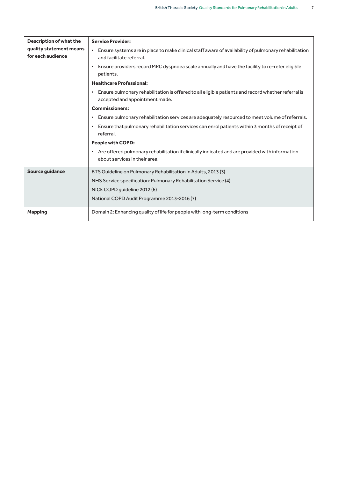| <b>Description of what the</b>               | <b>Service Provider:</b>                                                                                                                          |
|----------------------------------------------|---------------------------------------------------------------------------------------------------------------------------------------------------|
| quality statement means<br>for each audience | Ensure systems are in place to make clinical staff aware of availability of pulmonary rehabilitation<br>$\bullet$<br>and facilitate referral.     |
|                                              | Ensure providers record MRC dyspnoea scale annually and have the facility to re-refer eligible<br>$\bullet$<br>patients.                          |
|                                              | <b>Healthcare Professional:</b>                                                                                                                   |
|                                              | Ensure pulmonary rehabilitation is offered to all eligible patients and record whether referral is<br>$\bullet$<br>accepted and appointment made. |
|                                              | <b>Commissioners:</b>                                                                                                                             |
|                                              | Ensure pulmonary rehabilitation services are adequately resourced to meet volume of referrals.                                                    |
|                                              | Ensure that pulmonary rehabilitation services can enrol patients within 3 months of receipt of<br>referral.                                       |
|                                              | <b>People with COPD:</b>                                                                                                                          |
|                                              | Are offered pulmonary rehabilitation if clinically indicated and are provided with information<br>about services in their area.                   |
| Source guidance                              | BTS Guideline on Pulmonary Rehabilitation in Adults, 2013 (3)                                                                                     |
|                                              | NHS Service specification: Pulmonary Rehabilitation Service (4)                                                                                   |
|                                              | NICE COPD guideline 2012 (6)                                                                                                                      |
|                                              | National COPD Audit Programme 2013-2016 (7)                                                                                                       |
| <b>Mapping</b>                               | Domain 2: Enhancing quality of life for people with long-term conditions                                                                          |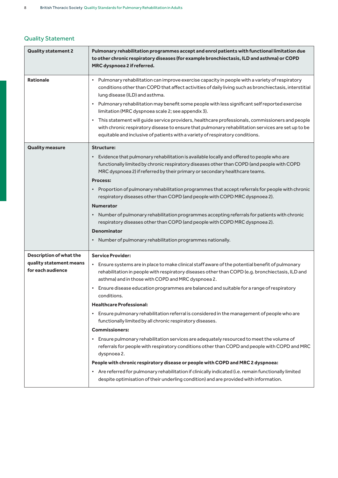8

| <b>Quality statement 2</b>                   | Pulmonary rehabilitation programmes accept and enrol patients with functional limitation due<br>to other chronic respiratory diseases (for example bronchiectasis, ILD and asthma) or COPD<br>MRC dyspnoea 2 if referred.                                                                           |
|----------------------------------------------|-----------------------------------------------------------------------------------------------------------------------------------------------------------------------------------------------------------------------------------------------------------------------------------------------------|
| <b>Rationale</b>                             | • Pulmonary rehabilitation can improve exercise capacity in people with a variety of respiratory<br>conditions other than COPD that affect activities of daily living such as bronchiectasis, interstitial<br>lung disease (ILD) and asthma.                                                        |
|                                              | • Pulmonary rehabilitation may benefit some people with less significant self reported exercise<br>limitation (MRC dyspnoea scale 2; see appendix 3).                                                                                                                                               |
|                                              | This statement will guide service providers, healthcare professionals, commissioners and people<br>$\bullet$<br>with chronic respiratory disease to ensure that pulmonary rehabilitation services are set up to be<br>equitable and inclusive of patients with a variety of respiratory conditions. |
| <b>Quality measure</b>                       | <b>Structure:</b>                                                                                                                                                                                                                                                                                   |
|                                              | • Evidence that pulmonary rehabilitation is available locally and offered to people who are<br>functionally limited by chronic respiratory diseases other than COPD (and people with COPD<br>MRC dyspnoea 2) if referred by their primary or secondary healthcare teams.                            |
|                                              | <b>Process:</b>                                                                                                                                                                                                                                                                                     |
|                                              | • Proportion of pulmonary rehabilitation programmes that accept referrals for people with chronic<br>respiratory diseases other than COPD (and people with COPD MRC dyspnoea 2).                                                                                                                    |
|                                              | <b>Numerator</b>                                                                                                                                                                                                                                                                                    |
|                                              | • Number of pulmonary rehabilitation programmes accepting referrals for patients with chronic<br>respiratory diseases other than COPD (and people with COPD MRC dyspnoea 2).                                                                                                                        |
|                                              | <b>Denominator</b>                                                                                                                                                                                                                                                                                  |
|                                              | • Number of pulmonary rehabilitation programmes nationally.                                                                                                                                                                                                                                         |
| Description of what the                      | <b>Service Provider:</b>                                                                                                                                                                                                                                                                            |
| quality statement means<br>for each audience | • Ensure systems are in place to make clinical staff aware of the potential benefit of pulmonary<br>rehabilitation in people with respiratory diseases other than COPD (e.g. bronchiectasis, ILD and<br>asthma) and in those with COPD and MRC dyspnoea 2.                                          |
|                                              | Ensure disease education programmes are balanced and suitable for a range of respiratory<br>conditions.                                                                                                                                                                                             |
|                                              | <b>Healthcare Professional:</b>                                                                                                                                                                                                                                                                     |
|                                              | Ensure pulmonary rehabilitation referral is considered in the management of people who are<br>functionally limited by all chronic respiratory diseases.                                                                                                                                             |
|                                              | <b>Commissioners:</b>                                                                                                                                                                                                                                                                               |
|                                              | • Ensure pulmonary rehabilitation services are adequately resourced to meet the volume of<br>referrals for people with respiratory conditions other than COPD and people with COPD and MRC<br>dyspnoea 2.                                                                                           |
|                                              | People with chronic respiratory disease or people with COPD and MRC 2 dyspnoea:                                                                                                                                                                                                                     |
|                                              | • Are referred for pulmonary rehabilitation if clinically indicated (i.e. remain functionally limited<br>despite optimisation of their underling condition) and are provided with information.                                                                                                      |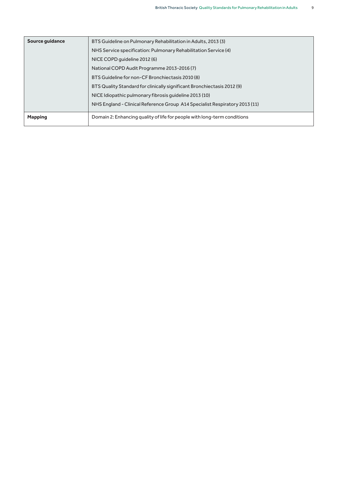| Source guidance | BTS Guideline on Pulmonary Rehabilitation in Adults, 2013 (3)               |
|-----------------|-----------------------------------------------------------------------------|
|                 | NHS Service specification: Pulmonary Rehabilitation Service (4)             |
|                 | NICE COPD quideline 2012 (6)                                                |
|                 | National COPD Audit Programme 2013-2016 (7)                                 |
|                 | BTS Guideline for non-CF Bronchiectasis 2010 (8)                            |
|                 | BTS Quality Standard for clinically significant Bronchiectasis 2012 (9)     |
|                 | NICE Idiopathic pulmonary fibrosis quideline 2013 (10)                      |
|                 | NHS England - Clinical Reference Group A14 Specialist Respiratory 2013 (11) |
| <b>Mapping</b>  | Domain 2: Enhancing quality of life for people with long-term conditions    |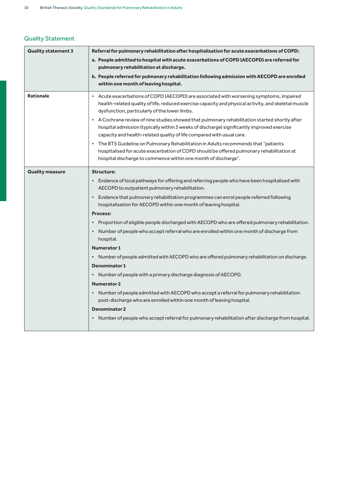| <b>Quality statement 3</b> | Referral for pulmonary rehabilitation after hospitalisation for acute exacerbations of COPD:<br>a. People admitted to hospital with acute exacerbations of COPD (AECOPD) are referred for<br>pulmonary rehabilitation at discharge.<br>b. People referred for pulmonary rehabilitation following admission with AECOPD are enrolled<br>within one month of leaving hospital.                                                                                                                                                                                                                                                                                                                                                                                                                                                                                                                                                                                                                                                                                                                                        |
|----------------------------|---------------------------------------------------------------------------------------------------------------------------------------------------------------------------------------------------------------------------------------------------------------------------------------------------------------------------------------------------------------------------------------------------------------------------------------------------------------------------------------------------------------------------------------------------------------------------------------------------------------------------------------------------------------------------------------------------------------------------------------------------------------------------------------------------------------------------------------------------------------------------------------------------------------------------------------------------------------------------------------------------------------------------------------------------------------------------------------------------------------------|
| <b>Rationale</b>           | Acute exacerbations of COPD (AECOPD) are associated with worsening symptoms, impaired<br>health-related quality of life, reduced exercise capacity and physical activity, and skeletal muscle<br>dysfunction, particularly of the lower limbs.<br>• A Cochrane review of nine studies showed that pulmonary rehabilitation started shortly after<br>hospital admission (typically within 3 weeks of discharge) significantly improved exercise<br>capacity and health-related quality of life compared with usual care.                                                                                                                                                                                                                                                                                                                                                                                                                                                                                                                                                                                             |
|                            | The BTS Guideline on Pulmonary Rehabilitation in Adults recommends that "patients<br>hospitalised for acute exacerbation of COPD should be offered pulmonary rehabilitation at<br>hospital discharge to commence within one month of discharge".                                                                                                                                                                                                                                                                                                                                                                                                                                                                                                                                                                                                                                                                                                                                                                                                                                                                    |
| <b>Quality measure</b>     | <b>Structure:</b><br>• Evidence of local pathways for offering and referring people who have been hospitalised with<br>AECOPD to outpatient pulmonary rehabilitation.<br>• Evidence that pulmonary rehabilitation programmes can enrol people referred following<br>hospitalisation for AECOPD within one month of leaving hospital.<br><b>Process:</b><br>• Proportion of eligible people discharged with AECOPD who are offered pulmonary rehabilitation.<br>• Number of people who accept referral who are enrolled within one month of discharge from<br>hospital.<br><b>Numerator 1</b><br>• Number of people admitted with AECOPD who are offered pulmonary rehabilitation on discharge.<br><b>Denominator 1</b><br>• Number of people with a primary discharge diagnosis of AECOPD.<br><b>Numerator 2</b><br>• Number of people admitted with AECOPD who accept a referral for pulmonary rehabilitation<br>post-discharge who are enrolled within one month of leaving hospital.<br><b>Denominator 2</b><br>Number of people who accept referral for pulmonary rehabilitation after discharge from hospital. |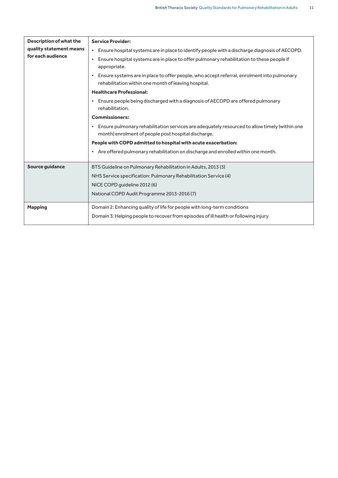| <b>Description of what the</b>               | <b>Service Provider:</b>                                                                                                                                          |
|----------------------------------------------|-------------------------------------------------------------------------------------------------------------------------------------------------------------------|
| quality statement means<br>for each audience | Ensure hospital systems are in place to identify people with a discharge diagnosis of AECOPD.<br>$\bullet$                                                        |
|                                              | Ensure hospital systems are in place to offer pulmonary rehabilitation to these people if<br>$\bullet$<br>appropriate.                                            |
|                                              | Ensure systems are in place to offer people, who accept referral, enrolment into pulmonary<br>$\bullet$<br>rehabilitation within one month of leaving hospital.   |
|                                              | <b>Healthcare Professional:</b>                                                                                                                                   |
|                                              | Ensure people being discharged with a diagnosis of AECOPD are offered pulmonary<br>rehabilitation.                                                                |
|                                              | <b>Commissioners:</b>                                                                                                                                             |
|                                              | Ensure pulmonary rehabilitation services are adequately resourced to allow timely (within one<br>$\bullet$<br>month) enrolment of people post hospital discharge. |
|                                              | People with COPD admitted to hospital with acute exacerbation:                                                                                                    |
|                                              | • Are offered pulmonary rehabilitation on discharge and enrolled within one month.                                                                                |
|                                              |                                                                                                                                                                   |
| Source guidance                              | BTS Guideline on Pulmonary Rehabilitation in Adults, 2013 (3)                                                                                                     |
|                                              | NHS Service specification: Pulmonary Rehabilitation Service (4)                                                                                                   |
|                                              | NICE COPD guideline 2012 (6)                                                                                                                                      |
|                                              | National COPD Audit Programme 2013-2016 (7)                                                                                                                       |
| <b>Mapping</b>                               | Domain 2: Enhancing quality of life for people with long-term conditions                                                                                          |
|                                              | Domain 3: Helping people to recover from episodes of ill health or following injury                                                                               |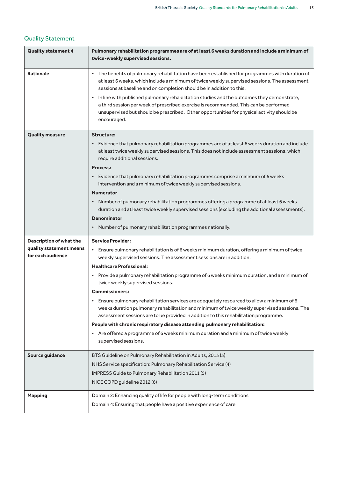| <b>Quality statement 4</b>     | Pulmonary rehabilitation programmes are of at least 6 weeks duration and include a minimum of<br>twice-weekly supervised sessions.                                                                                                                                                               |
|--------------------------------|--------------------------------------------------------------------------------------------------------------------------------------------------------------------------------------------------------------------------------------------------------------------------------------------------|
| <b>Rationale</b>               | The benefits of pulmonary rehabilitation have been established for programmes with duration of<br>at least 6 weeks, which include a minimum of twice weekly supervised sessions. The assessment<br>sessions at baseline and on completion should be in addition to this.                         |
|                                | In line with published pulmonary rehabilitation studies and the outcomes they demonstrate,<br>a third session per week of prescribed exercise is recommended. This can be performed<br>unsupervised but should be prescribed. Other opportunities for physical activity should be<br>encouraged. |
| <b>Quality measure</b>         | <b>Structure:</b>                                                                                                                                                                                                                                                                                |
|                                | Evidence that pulmonary rehabilitation programmes are of at least 6 weeks duration and include<br>at least twice weekly supervised sessions. This does not include assessment sessions, which<br>require additional sessions.                                                                    |
|                                | Process:                                                                                                                                                                                                                                                                                         |
|                                | • Evidence that pulmonary rehabilitation programmes comprise a minimum of 6 weeks<br>intervention and a minimum of twice weekly supervised sessions.                                                                                                                                             |
|                                | <b>Numerator</b>                                                                                                                                                                                                                                                                                 |
|                                | • Number of pulmonary rehabilitation programmes offering a programme of at least 6 weeks<br>duration and at least twice weekly supervised sessions (excluding the additional assessments).                                                                                                       |
|                                | <b>Denominator</b>                                                                                                                                                                                                                                                                               |
|                                | Number of pulmonary rehabilitation programmes nationally.                                                                                                                                                                                                                                        |
| <b>Description of what the</b> | <b>Service Provider:</b>                                                                                                                                                                                                                                                                         |
| quality statement means        | Ensure pulmonary rehabilitation is of 6 weeks minimum duration, offering a minimum of twice                                                                                                                                                                                                      |
| for each audience              | weekly supervised sessions. The assessment sessions are in addition.                                                                                                                                                                                                                             |
|                                | <b>Healthcare Professional:</b>                                                                                                                                                                                                                                                                  |
|                                | • Provide a pulmonary rehabilitation programme of 6 weeks minimum duration, and a minimum of                                                                                                                                                                                                     |
|                                | twice weekly supervised sessions.<br><b>Commissioners:</b>                                                                                                                                                                                                                                       |
|                                | Ensure pulmonary rehabilitation services are adequately resourced to allow a minimum of 6                                                                                                                                                                                                        |
|                                | weeks duration pulmonary rehabilitation and minimum of twice weekly supervised sessions. The<br>assessment sessions are to be provided in addition to this rehabilitation programme.                                                                                                             |
|                                | People with chronic respiratory disease attending pulmonary rehabilitation:                                                                                                                                                                                                                      |
|                                | Are offered a programme of 6 weeks minimum duration and a minimum of twice weekly<br>supervised sessions.                                                                                                                                                                                        |
| Source guidance                | BTS Guideline on Pulmonary Rehabilitation in Adults, 2013 (3)                                                                                                                                                                                                                                    |
|                                | NHS Service specification: Pulmonary Rehabilitation Service (4)                                                                                                                                                                                                                                  |
|                                | IMPRESS Guide to Pulmonary Rehabilitation 2011 (5)                                                                                                                                                                                                                                               |
|                                | NICE COPD guideline 2012 (6)                                                                                                                                                                                                                                                                     |
| <b>Mapping</b>                 | Domain 2: Enhancing quality of life for people with long-term conditions                                                                                                                                                                                                                         |
|                                | Domain 4: Ensuring that people have a positive experience of care                                                                                                                                                                                                                                |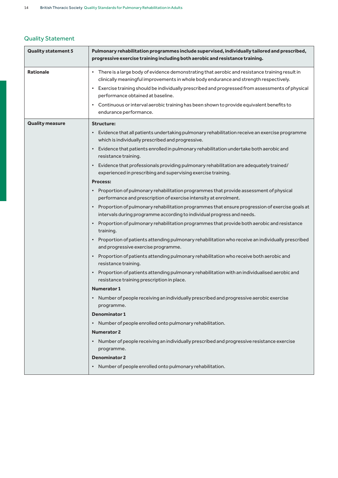| <b>Quality statement 5</b> | Pulmonary rehabilitation programmes include supervised, individually tailored and prescribed,<br>progressive exercise training including both aerobic and resistance training.            |
|----------------------------|-------------------------------------------------------------------------------------------------------------------------------------------------------------------------------------------|
| <b>Rationale</b>           | • There is a large body of evidence demonstrating that aerobic and resistance training result in<br>clinically meaningful improvements in whole body endurance and strength respectively. |
|                            | • Exercise training should be individually prescribed and progressed from assessments of physical<br>performance obtained at baseline.                                                    |
|                            | Continuous or interval aerobic training has been shown to provide equivalent benefits to<br>endurance performance.                                                                        |
| <b>Quality measure</b>     | <b>Structure:</b>                                                                                                                                                                         |
|                            | Evidence that all patients undertaking pulmonary rehabilitation receive an exercise programme<br>which is individually prescribed and progressive.                                        |
|                            | • Evidence that patients enrolled in pulmonary rehabilitation undertake both aerobic and<br>resistance training.                                                                          |
|                            | Evidence that professionals providing pulmonary rehabilitation are adequately trained/<br>experienced in prescribing and supervising exercise training.                                   |
|                            | <b>Process:</b>                                                                                                                                                                           |
|                            | • Proportion of pulmonary rehabilitation programmes that provide assessment of physical<br>performance and prescription of exercise intensity at enrolment.                               |
|                            | Proportion of pulmonary rehabilitation programmes that ensure progression of exercise goals at<br>intervals during programme according to individual progress and needs.                  |
|                            | • Proportion of pulmonary rehabilitation programmes that provide both aerobic and resistance<br>training.                                                                                 |
|                            | Proportion of patients attending pulmonary rehabilitation who receive an individually prescribed<br>and progressive exercise programme.                                                   |
|                            | • Proportion of patients attending pulmonary rehabilitation who receive both aerobic and<br>resistance training.                                                                          |
|                            | Proportion of patients attending pulmonary rehabilitation with an individualised aerobic and<br>resistance training prescription in place.                                                |
|                            | <b>Numerator 1</b>                                                                                                                                                                        |
|                            | · Number of people receiving an individually prescribed and progressive aerobic exercise<br>programme.                                                                                    |
|                            | <b>Denominator 1</b>                                                                                                                                                                      |
|                            | Number of people enrolled onto pulmonary rehabilitation.                                                                                                                                  |
|                            | <b>Numerator 2</b>                                                                                                                                                                        |
|                            | Number of people receiving an individually prescribed and progressive resistance exercise<br>programme.                                                                                   |
|                            | <b>Denominator 2</b>                                                                                                                                                                      |
|                            | • Number of people enrolled onto pulmonary rehabilitation.                                                                                                                                |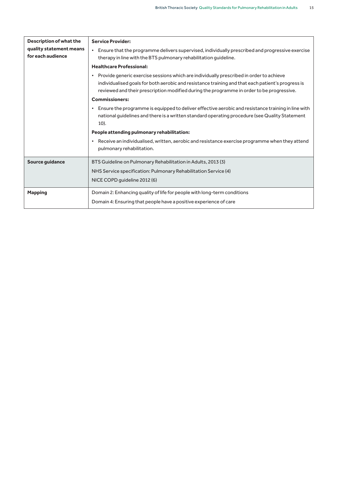| <b>Description of what the</b><br>quality statement means<br>for each audience | <b>Service Provider:</b>                                                                                                                                                                                                                                                                               |
|--------------------------------------------------------------------------------|--------------------------------------------------------------------------------------------------------------------------------------------------------------------------------------------------------------------------------------------------------------------------------------------------------|
|                                                                                | Ensure that the programme delivers supervised, individually prescribed and progressive exercise<br>$\bullet$<br>therapy in line with the BTS pulmonary rehabilitation quideline.                                                                                                                       |
|                                                                                | <b>Healthcare Professional:</b>                                                                                                                                                                                                                                                                        |
|                                                                                | Provide generic exercise sessions which are individually prescribed in order to achieve<br>$\bullet$<br>individualised goals for both aerobic and resistance training and that each patient's progress is<br>reviewed and their prescription modified during the programme in order to be progressive. |
|                                                                                | <b>Commissioners:</b>                                                                                                                                                                                                                                                                                  |
|                                                                                | Ensure the programme is equipped to deliver effective aerobic and resistance training in line with<br>$\bullet$<br>national quidelines and there is a written standard operating procedure (see Quality Statement<br>$10$ .                                                                            |
|                                                                                | People attending pulmonary rehabilitation:                                                                                                                                                                                                                                                             |
|                                                                                | Receive an individualised, written, aerobic and resistance exercise programme when they attend<br>$\bullet$<br>pulmonary rehabilitation.                                                                                                                                                               |
| Source guidance                                                                | BTS Guideline on Pulmonary Rehabilitation in Adults, 2013 (3)                                                                                                                                                                                                                                          |
|                                                                                | NHS Service specification: Pulmonary Rehabilitation Service (4)                                                                                                                                                                                                                                        |
|                                                                                | NICE COPD guideline 2012 (6)                                                                                                                                                                                                                                                                           |
| <b>Mapping</b>                                                                 | Domain 2: Enhancing quality of life for people with long-term conditions                                                                                                                                                                                                                               |
|                                                                                | Domain 4: Ensuring that people have a positive experience of care                                                                                                                                                                                                                                      |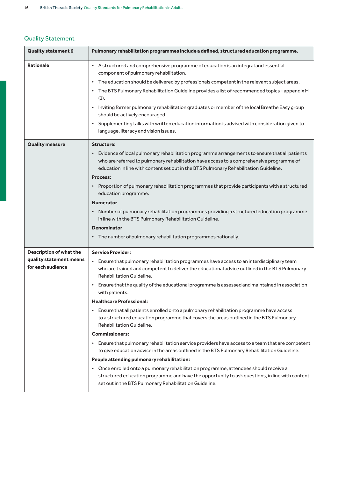| <b>Quality statement 6</b>                   | Pulmonary rehabilitation programmes include a defined, structured education programme.                                                                                                                                                                                                                  |
|----------------------------------------------|---------------------------------------------------------------------------------------------------------------------------------------------------------------------------------------------------------------------------------------------------------------------------------------------------------|
| <b>Rationale</b>                             | • A structured and comprehensive programme of education is an integral and essential<br>component of pulmonary rehabilitation.                                                                                                                                                                          |
|                                              | • The education should be delivered by professionals competent in the relevant subject areas.                                                                                                                                                                                                           |
|                                              | • The BTS Pulmonary Rehabilitation Guideline provides a list of recommended topics - appendix H<br>(3).                                                                                                                                                                                                 |
|                                              | • Inviting former pulmonary rehabilitation graduates or member of the local Breathe Easy group<br>should be actively encouraged.                                                                                                                                                                        |
|                                              | • Supplementing talks with written education information is advised with consideration given to<br>language, literacy and vision issues.                                                                                                                                                                |
| <b>Quality measure</b>                       | <b>Structure:</b>                                                                                                                                                                                                                                                                                       |
|                                              | • Evidence of local pulmonary rehabilitation programme arrangements to ensure that all patients<br>who are referred to pulmonary rehabilitation have access to a comprehensive programme of<br>education in line with content set out in the BTS Pulmonary Rehabilitation Guideline.<br><b>Process:</b> |
|                                              | • Proportion of pulmonary rehabilitation programmes that provide participants with a structured<br>education programme.                                                                                                                                                                                 |
|                                              | <b>Numerator</b>                                                                                                                                                                                                                                                                                        |
|                                              | • Number of pulmonary rehabilitation programmes providing a structured education programme<br>in line with the BTS Pulmonary Rehabilitation Guideline.                                                                                                                                                  |
|                                              | <b>Denominator</b>                                                                                                                                                                                                                                                                                      |
|                                              | • The number of pulmonary rehabilitation programmes nationally.                                                                                                                                                                                                                                         |
| <b>Description of what the</b>               | <b>Service Provider:</b>                                                                                                                                                                                                                                                                                |
| quality statement means<br>for each audience | • Ensure that pulmonary rehabilitation programmes have access to an interdisciplinary team<br>who are trained and competent to deliver the educational advice outlined in the BTS Pulmonary<br>Rehabilitation Guideline.                                                                                |
|                                              | • Ensure that the quality of the educational programme is assessed and maintained in association<br>with patients.                                                                                                                                                                                      |
|                                              | <b>Healthcare Professional:</b>                                                                                                                                                                                                                                                                         |
|                                              | • Ensure that all patients enrolled onto a pulmonary rehabilitation programme have access<br>to a structured education programme that covers the areas outlined in the BTS Pulmonary<br>Rehabilitation Guideline.                                                                                       |
|                                              | <b>Commissioners:</b>                                                                                                                                                                                                                                                                                   |
|                                              | • Ensure that pulmonary rehabilitation service providers have access to a team that are competent<br>to give education advice in the areas outlined in the BTS Pulmonary Rehabilitation Guideline.                                                                                                      |
|                                              | People attending pulmonary rehabilitation:                                                                                                                                                                                                                                                              |
|                                              | • Once enrolled onto a pulmonary rehabilitation programme, attendees should receive a<br>structured education programme and have the opportunity to ask questions, in line with content<br>set out in the BTS Pulmonary Rehabilitation Guideline.                                                       |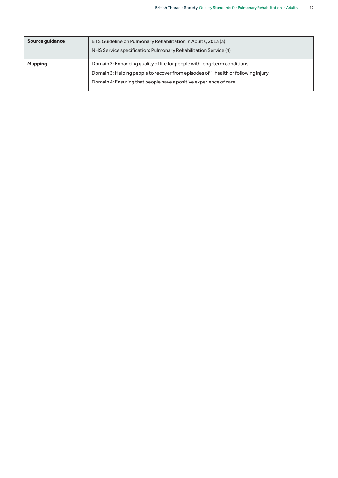| Source guidance | BTS Guideline on Pulmonary Rehabilitation in Adults, 2013 (3)<br>NHS Service specification: Pulmonary Rehabilitation Service (4) |
|-----------------|----------------------------------------------------------------------------------------------------------------------------------|
| <b>Mapping</b>  | Domain 2: Enhancing quality of life for people with long-term conditions                                                         |
|                 | Domain 3: Helping people to recover from episodes of ill health or following injury                                              |
|                 | Domain 4: Ensuring that people have a positive experience of care                                                                |
|                 |                                                                                                                                  |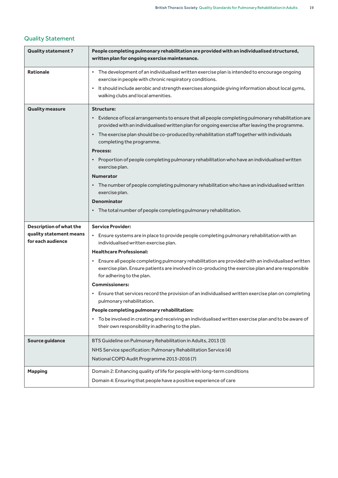| <b>Quality statement 7</b>                   | People completing pulmonary rehabilitation are provided with an individualised structured,<br>written plan for ongoing exercise maintenance.                                                                                        |
|----------------------------------------------|-------------------------------------------------------------------------------------------------------------------------------------------------------------------------------------------------------------------------------------|
| <b>Rationale</b>                             | The development of an individualised written exercise plan is intended to encourage ongoing<br>$\bullet$<br>exercise in people with chronic respiratory conditions.                                                                 |
|                                              | It should include aerobic and strength exercises alongside giving information about local gyms,<br>walking clubs and local amenities.                                                                                               |
| <b>Quality measure</b>                       | <b>Structure:</b>                                                                                                                                                                                                                   |
|                                              | Evidence of local arrangements to ensure that all people completing pulmonary rehabilitation are<br>provided with an individualised written plan for ongoing exercise after leaving the programme.                                  |
|                                              | • The exercise plan should be co-produced by rehabilitation staff together with individuals<br>completing the programme.                                                                                                            |
|                                              | Process:                                                                                                                                                                                                                            |
|                                              | • Proportion of people completing pulmonary rehabilitation who have an individualised written<br>exercise plan.                                                                                                                     |
|                                              | <b>Numerator</b>                                                                                                                                                                                                                    |
|                                              | The number of people completing pulmonary rehabilitation who have an individualised written<br>exercise plan.                                                                                                                       |
|                                              | <b>Denominator</b>                                                                                                                                                                                                                  |
|                                              | • The total number of people completing pulmonary rehabilitation.                                                                                                                                                                   |
| <b>Description of what the</b>               | <b>Service Provider:</b>                                                                                                                                                                                                            |
| quality statement means<br>for each audience | Ensure systems are in place to provide people completing pulmonary rehabilitation with an<br>individualised written exercise plan.                                                                                                  |
|                                              | <b>Healthcare Professional:</b>                                                                                                                                                                                                     |
|                                              | Ensure all people completing pulmonary rehabilitation are provided with an individualised written<br>exercise plan. Ensure patients are involved in co-producing the exercise plan and are responsible<br>for adhering to the plan. |
|                                              | <b>Commissioners:</b>                                                                                                                                                                                                               |
|                                              | Ensure that services record the provision of an individualised written exercise plan on completing<br>pulmonary rehabilitation.                                                                                                     |
|                                              | People completing pulmonary rehabilitation:                                                                                                                                                                                         |
|                                              | To be involved in creating and receiving an individualised written exercise plan and to be aware of<br>their own responsibility in adhering to the plan.                                                                            |
| Source guidance                              | BTS Guideline on Pulmonary Rehabilitation in Adults, 2013 (3)                                                                                                                                                                       |
|                                              | NHS Service specification: Pulmonary Rehabilitation Service (4)                                                                                                                                                                     |
|                                              | National COPD Audit Programme 2013-2016 (7)                                                                                                                                                                                         |
| <b>Mapping</b>                               | Domain 2: Enhancing quality of life for people with long-term conditions                                                                                                                                                            |
|                                              | Domain 4: Ensuring that people have a positive experience of care                                                                                                                                                                   |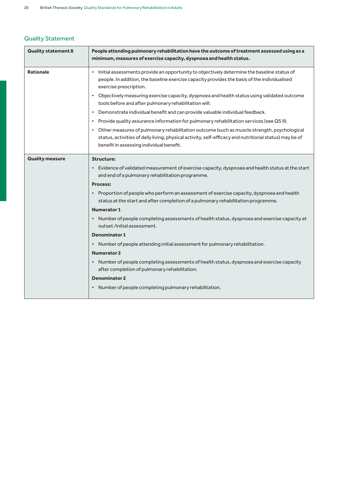| <b>Quality statement 8</b> | People attending pulmonary rehabilitation have the outcome of treatment assessed using as a<br>minimum, measures of exercise capacity, dyspnoea and health status.                                                                                 |
|----------------------------|----------------------------------------------------------------------------------------------------------------------------------------------------------------------------------------------------------------------------------------------------|
| <b>Rationale</b>           | Initial assessments provide an opportunity to objectively determine the baseline status of<br>people. In addition, the baseline exercise capacity provides the basis of the individualised<br>exercise prescription.                               |
|                            | Objectively measuring exercise capacity, dyspnoea and health status using validated outcome<br>tools before and after pulmonary rehabilitation will:                                                                                               |
|                            | Demonstrate individual benefit and can provide valuable individual feedback.<br>$\bullet$                                                                                                                                                          |
|                            | • Provide quality assurance information for pulmonary rehabilitation services (see QS 9).                                                                                                                                                          |
|                            | • Other measures of pulmonary rehabilitation outcome (such as muscle strength, psychological<br>status, activities of daily living, physical activity, self-efficacy and nutritional status) may be of<br>benefit in assessing individual benefit. |
| <b>Quality measure</b>     | <b>Structure:</b>                                                                                                                                                                                                                                  |
|                            | Evidence of validated measurement of exercise capacity, dyspnoea and health status at the start<br>and end of a pulmonary rehabilitation programme.                                                                                                |
|                            | <b>Process:</b>                                                                                                                                                                                                                                    |
|                            | • Proportion of people who perform an assessment of exercise capacity, dyspnoea and health<br>status at the start and after completion of a pulmonary rehabilitation programme.                                                                    |
|                            | <b>Numerator 1</b>                                                                                                                                                                                                                                 |
|                            | • Number of people completing assessments of health status, dyspnoea and exercise capacity at<br>outset/initialassessment.                                                                                                                         |
|                            | <b>Denominator 1</b>                                                                                                                                                                                                                               |
|                            | • Number of people attending initial assessment for pulmonary rehabilitation.                                                                                                                                                                      |
|                            | <b>Numerator 2</b>                                                                                                                                                                                                                                 |
|                            | Number of people completing assessments of health status, dyspnoea and exercise capacity<br>after completion of pulmonary rehabilitation.                                                                                                          |
|                            | <b>Denominator 2</b>                                                                                                                                                                                                                               |
|                            | Number of people completing pulmonary rehabilitation.                                                                                                                                                                                              |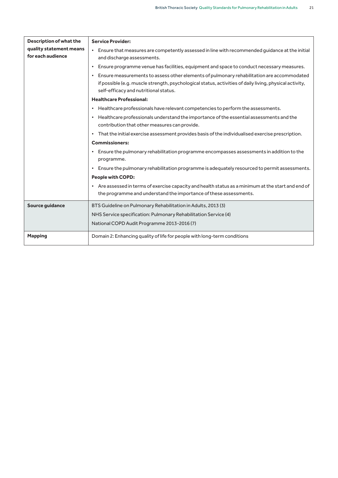| <b>Description of what the</b><br>quality statement means<br>for each audience | <b>Service Provider:</b>                                                                                                                                                                                                                                   |
|--------------------------------------------------------------------------------|------------------------------------------------------------------------------------------------------------------------------------------------------------------------------------------------------------------------------------------------------------|
|                                                                                | Ensure that measures are competently assessed in line with recommended quidance at the initial<br>and discharge assessments.                                                                                                                               |
|                                                                                | Ensure programme venue has facilities, equipment and space to conduct necessary measures.                                                                                                                                                                  |
|                                                                                | Ensure measurements to assess other elements of pulmonary rehabilitation are accommodated<br>$\bullet$<br>if possible (e.g. muscle strength, psychological status, activities of daily living, physical activity,<br>self-efficacy and nutritional status. |
|                                                                                | <b>Healthcare Professional:</b>                                                                                                                                                                                                                            |
|                                                                                | Healthcare professionals have relevant competencies to perform the assessments.<br>$\bullet$                                                                                                                                                               |
|                                                                                | Healthcare professionals understand the importance of the essential assessments and the<br>$\bullet$<br>contribution that other measures can provide.                                                                                                      |
|                                                                                | That the initial exercise assessment provides basis of the individualised exercise prescription.<br>$\bullet$                                                                                                                                              |
|                                                                                | <b>Commissioners:</b>                                                                                                                                                                                                                                      |
|                                                                                | Ensure the pulmonary rehabilitation programme encompasses assessments in addition to the<br>programme.                                                                                                                                                     |
|                                                                                | Ensure the pulmonary rehabilitation programme is adequately resourced to permit assessments.<br>$\bullet$                                                                                                                                                  |
|                                                                                | <b>People with COPD:</b>                                                                                                                                                                                                                                   |
|                                                                                | • Are assessed in terms of exercise capacity and health status as a minimum at the start and end of<br>the programme and understand the importance of these assessments.                                                                                   |
| Source guidance                                                                | BTS Guideline on Pulmonary Rehabilitation in Adults, 2013 (3)                                                                                                                                                                                              |
|                                                                                | NHS Service specification: Pulmonary Rehabilitation Service (4)                                                                                                                                                                                            |
|                                                                                | National COPD Audit Programme 2013-2016 (7)                                                                                                                                                                                                                |
| <b>Mapping</b>                                                                 | Domain 2: Enhancing quality of life for people with long-term conditions                                                                                                                                                                                   |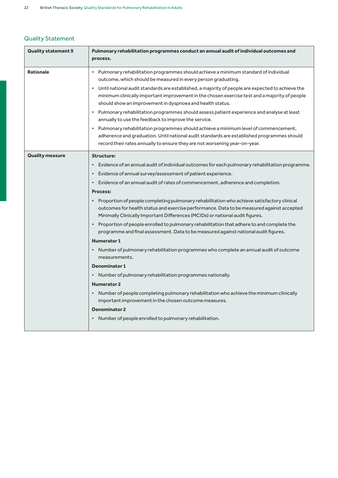| <b>Quality statement 9</b> | Pulmonary rehabilitation programmes conduct an annual audit of individual outcomes and                                                                                                                                                                                   |
|----------------------------|--------------------------------------------------------------------------------------------------------------------------------------------------------------------------------------------------------------------------------------------------------------------------|
|                            | process.                                                                                                                                                                                                                                                                 |
| <b>Rationale</b>           | • Pulmonary rehabilitation programmes should achieve a minimum standard of individual<br>outcome, which should be measured in every person graduating.                                                                                                                   |
|                            | Until national audit standards are established, a majority of people are expected to achieve the<br>minimum clinically important improvement in the chosen exercise test and a majority of people<br>should show an improvement in dyspnoea and health status.           |
|                            | Pulmonary rehabilitation programmes should assess patient experience and analyse at least<br>annually to use the feedback to improve the service.                                                                                                                        |
|                            | Pulmonary rehabilitation programmes should achieve a minimum level of commencement,<br>adherence and graduation. Until national audit standards are established programmes should<br>record their rates annually to ensure they are not worsening year-on-year.          |
| <b>Quality measure</b>     | <b>Structure:</b>                                                                                                                                                                                                                                                        |
|                            | Evidence of an annual audit of individual outcomes for each pulmonary rehabilitation programme.                                                                                                                                                                          |
|                            | Evidence of annual survey/assessment of patient experience.                                                                                                                                                                                                              |
|                            | Evidence of an annual audit of rates of commencement, adherence and completion.                                                                                                                                                                                          |
|                            | <b>Process:</b>                                                                                                                                                                                                                                                          |
|                            | Proportion of people completing pulmonary rehabilitation who achieve satisfactory clinical<br>outcomes for health status and exercise performance. Data to be measured against accepted<br>Minimally Clinically Important Differences (MCIDs) or national audit figures. |
|                            | Proportion of people enrolled to pulmonary rehabilitation that adhere to and complete the<br>programme and final assessment. Data to be measured against national audit figures.                                                                                         |
|                            | <b>Numerator 1</b>                                                                                                                                                                                                                                                       |
|                            | Number of pulmonary rehabilitation programmes who complete an annual audit of outcome<br>measurements.                                                                                                                                                                   |
|                            | <b>Denominator 1</b>                                                                                                                                                                                                                                                     |
|                            | • Number of pulmonary rehabilitation programmes nationally.                                                                                                                                                                                                              |
|                            | <b>Numerator 2</b>                                                                                                                                                                                                                                                       |
|                            | • Number of people completing pulmonary rehabilitation who achieve the minimum clinically<br>important improvement in the chosen outcome measures.                                                                                                                       |
|                            | <b>Denominator 2</b>                                                                                                                                                                                                                                                     |
|                            | Number of people enrolled to pulmonary rehabilitation.                                                                                                                                                                                                                   |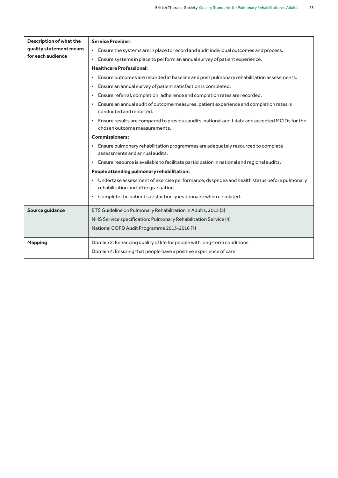| <b>Description of what the</b><br>quality statement means<br>for each audience | <b>Service Provider:</b>                                                                                                                       |
|--------------------------------------------------------------------------------|------------------------------------------------------------------------------------------------------------------------------------------------|
|                                                                                | Ensure the systems are in place to record and audit individual outcomes and process.                                                           |
|                                                                                | Ensure systems in place to perform an annual survey of patient experience.<br>$\bullet$                                                        |
|                                                                                | <b>Healthcare Professional:</b>                                                                                                                |
|                                                                                | Ensure outcomes are recorded at baseline and post pulmonary rehabilitation assessments.                                                        |
|                                                                                | Ensure an annual survey of patient satisfaction is completed.<br>$\bullet$                                                                     |
|                                                                                | Ensure referral, completion, adherence and completion rates are recorded.<br>$\bullet$                                                         |
|                                                                                | Ensure an annual audit of outcome measures, patient experience and completion rates is<br>$\bullet$<br>conducted and reported.                 |
|                                                                                | Ensure results are compared to previous audits, national audit data and accepted MCIDs for the<br>$\bullet$<br>chosen outcome measurements.    |
|                                                                                | <b>Commissioners:</b>                                                                                                                          |
|                                                                                | Ensure pulmonary rehabilitation programmes are adequately resourced to complete<br>$\bullet$<br>assessments and annual audits.                 |
|                                                                                | Ensure resource is available to facilitate participation in national and regional audits.<br>$\bullet$                                         |
|                                                                                | People attending pulmonary rehabilitation:                                                                                                     |
|                                                                                | Undertake assessment of exercise performance, dyspnoea and health status before pulmonary<br>$\bullet$<br>rehabilitation and after graduation. |
|                                                                                | Complete the patient satisfaction questionnaire when circulated.<br>$\bullet$                                                                  |
| Source guidance                                                                | BTS Guideline on Pulmonary Rehabilitation in Adults, 2013 (3)                                                                                  |
|                                                                                | NHS Service specification: Pulmonary Rehabilitation Service (4)                                                                                |
|                                                                                | National COPD Audit Programme 2013-2016 (7)                                                                                                    |
| <b>Mapping</b>                                                                 | Domain 2: Enhancing quality of life for people with long-term conditions                                                                       |
|                                                                                | Domain 4: Ensuring that people have a positive experience of care                                                                              |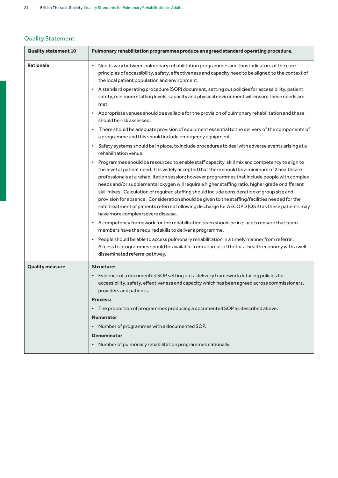| <b>Quality statement 10</b> | Pulmonary rehabilitation programmes produce an agreed standard operating procedure.                                                                                                                                                                                                                                                                                                                                                                                                                                                                                                                                                                                                                                                              |
|-----------------------------|--------------------------------------------------------------------------------------------------------------------------------------------------------------------------------------------------------------------------------------------------------------------------------------------------------------------------------------------------------------------------------------------------------------------------------------------------------------------------------------------------------------------------------------------------------------------------------------------------------------------------------------------------------------------------------------------------------------------------------------------------|
| <b>Rationale</b>            | Needs vary between pulmonary rehabilitation programmes and thus indicators of the core<br>principles of accessibility, safety, effectiveness and capacity need to be aligned to the context of<br>the local patient population and environment.                                                                                                                                                                                                                                                                                                                                                                                                                                                                                                  |
|                             | • A standard operating procedure (SOP) document, setting out policies for accessibility, patient<br>safety, minimum staffing levels, capacity and physical environment will ensure these needs are<br>met.                                                                                                                                                                                                                                                                                                                                                                                                                                                                                                                                       |
|                             | Appropriate venues should be available for the provision of pulmonary rehabilitation and these<br>should be risk assessed.                                                                                                                                                                                                                                                                                                                                                                                                                                                                                                                                                                                                                       |
|                             | There should be adequate provision of equipment essential to the delivery of the components of<br>a programme and this should include emergency equipment.                                                                                                                                                                                                                                                                                                                                                                                                                                                                                                                                                                                       |
|                             | Safety systems should be in place, to include procedures to deal with adverse events arising at a<br>rehabilitation venue.                                                                                                                                                                                                                                                                                                                                                                                                                                                                                                                                                                                                                       |
|                             | Programmes should be resourced to enable staff capacity, skill mix and competency to align to<br>the level of patient need. It is widely accepted that there should be a minimum of 2 healthcare<br>professionals at a rehabilitation session; however programmes that include people with complex<br>needs and/or supplemental oxygen will require a higher staffing ratio, higher grade or different<br>skill mixes. Calculation of required staffing should include consideration of group size and<br>provision for absence. Consideration should be given to the staffing/facilities needed for the<br>safe treatment of patients referred following discharge for AECOPD (QS 3) as these patients may<br>have more complex/severe disease. |
|                             | • A competency framework for the rehabilitation team should be in place to ensure that team<br>members have the required skills to deliver a programme.                                                                                                                                                                                                                                                                                                                                                                                                                                                                                                                                                                                          |
|                             | • People should be able to access pulmonary rehabilitation in a timely manner from referral.<br>Access to programmes should be available from all areas of the local health economy with a well<br>disseminated referral pathway.                                                                                                                                                                                                                                                                                                                                                                                                                                                                                                                |
| <b>Quality measure</b>      | <b>Structure:</b>                                                                                                                                                                                                                                                                                                                                                                                                                                                                                                                                                                                                                                                                                                                                |
|                             | • Evidence of a documented SOP setting out a delivery framework detailing policies for<br>accessibility, safety, effectiveness and capacity which has been agreed across commissioners,<br>providers and patients.                                                                                                                                                                                                                                                                                                                                                                                                                                                                                                                               |
|                             | <b>Process:</b>                                                                                                                                                                                                                                                                                                                                                                                                                                                                                                                                                                                                                                                                                                                                  |
|                             | • The proportion of programmes producing a documented SOP as described above.                                                                                                                                                                                                                                                                                                                                                                                                                                                                                                                                                                                                                                                                    |
|                             | <b>Numerator</b>                                                                                                                                                                                                                                                                                                                                                                                                                                                                                                                                                                                                                                                                                                                                 |
|                             | • Number of programmes with a documented SOP.<br><b>Denominator</b>                                                                                                                                                                                                                                                                                                                                                                                                                                                                                                                                                                                                                                                                              |
|                             | • Number of pulmonary rehabilitation programmes nationally.                                                                                                                                                                                                                                                                                                                                                                                                                                                                                                                                                                                                                                                                                      |
|                             |                                                                                                                                                                                                                                                                                                                                                                                                                                                                                                                                                                                                                                                                                                                                                  |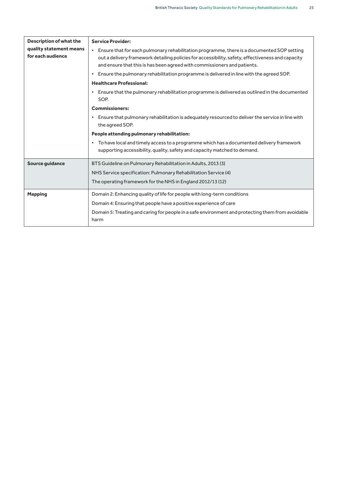| <b>Description of what the</b>               | <b>Service Provider:</b>                                                                                                                                                                                                                                                                 |
|----------------------------------------------|------------------------------------------------------------------------------------------------------------------------------------------------------------------------------------------------------------------------------------------------------------------------------------------|
| quality statement means<br>for each audience | Ensure that for each pulmonary rehabilitation programme, there is a documented SOP setting<br>$\bullet$<br>out a delivery framework detailing policies for accessibility, safety, effectiveness and capacity<br>and ensure that this is has been agreed with commissioners and patients. |
|                                              | Ensure the pulmonary rehabilitation programme is delivered in line with the agreed SOP.                                                                                                                                                                                                  |
|                                              | <b>Healthcare Professional:</b>                                                                                                                                                                                                                                                          |
|                                              | Ensure that the pulmonary rehabilitation programme is delivered as outlined in the documented<br>SOP.                                                                                                                                                                                    |
|                                              | <b>Commissioners:</b>                                                                                                                                                                                                                                                                    |
|                                              | Ensure that pulmonary rehabilitation is adequately resourced to deliver the service in line with<br>the agreed SOP.                                                                                                                                                                      |
|                                              | People attending pulmonary rehabilitation:                                                                                                                                                                                                                                               |
|                                              | To have local and timely access to a programme which has a documented delivery framework<br>$\bullet$                                                                                                                                                                                    |
|                                              | supporting accessibility, quality, safety and capacity matched to demand.                                                                                                                                                                                                                |
| Source guidance                              | BTS Guideline on Pulmonary Rehabilitation in Adults, 2013 (3)                                                                                                                                                                                                                            |
|                                              | NHS Service specification: Pulmonary Rehabilitation Service (4)                                                                                                                                                                                                                          |
|                                              | The operating framework for the NHS in England 2012/13 (12)                                                                                                                                                                                                                              |
| <b>Mapping</b>                               | Domain 2: Enhancing quality of life for people with long-term conditions                                                                                                                                                                                                                 |
|                                              | Domain 4: Ensuring that people have a positive experience of care                                                                                                                                                                                                                        |
|                                              | Domain 5: Treating and caring for people in a safe environment and protecting them from avoidable<br>harm                                                                                                                                                                                |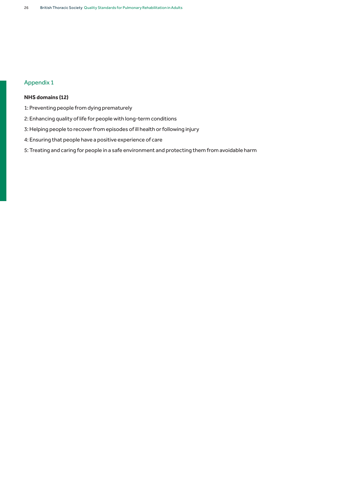#### Appendix 1

#### **NHS domains (12)**

- 1: Preventing people from dying prematurely
- 2: Enhancing quality of life for people with long-term conditions
- 3: Helping people to recover from episodes of ill health or following injury
- 4: Ensuring that people have a positive experience of care
- 5: Treating and caring for people in a safe environment and protecting them from avoidable harm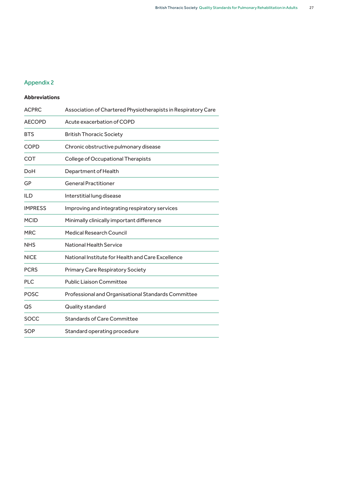## Appendix 2

#### **Abbreviations**

| <b>ACPRC</b>   | Association of Chartered Physiotherapists in Respiratory Care |
|----------------|---------------------------------------------------------------|
| <b>AECOPD</b>  | Acute exacerbation of COPD                                    |
| <b>BTS</b>     | <b>British Thoracic Society</b>                               |
| <b>COPD</b>    | Chronic obstructive pulmonary disease                         |
| <b>COT</b>     | College of Occupational Therapists                            |
| DoH            | Department of Health                                          |
| GP             | <b>General Practitioner</b>                                   |
| <b>ILD</b>     | Interstitial lung disease                                     |
| <b>IMPRESS</b> | Improving and integrating respiratory services                |
| <b>MCID</b>    | Minimally clinically important difference                     |
| <b>MRC</b>     | <b>Medical Research Council</b>                               |
| <b>NHS</b>     | National Health Service                                       |
| <b>NICE</b>    | National Institute for Health and Care Excellence             |
| <b>PCRS</b>    | <b>Primary Care Respiratory Society</b>                       |
| <b>PLC</b>     | <b>Public Liaison Committee</b>                               |
| <b>POSC</b>    | Professional and Organisational Standards Committee           |
| QS             | Quality standard                                              |
| SOCC           | <b>Standards of Care Committee</b>                            |
| <b>SOP</b>     | Standard operating procedure                                  |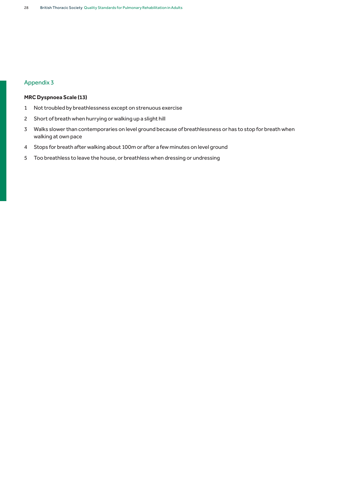#### Appendix 3

#### **MRC Dyspnoea Scale (13)**

- 1 Not troubled by breathlessness except on strenuous exercise
- 2 Short of breath when hurrying or walking up a slight hill
- 3 Walks slower than contemporaries on level ground because of breathlessness or has to stop for breath when walking at own pace
- 4 Stops for breath after walking about 100m or after a few minutes on level ground
- 5 Too breathless to leave the house, or breathless when dressing or undressing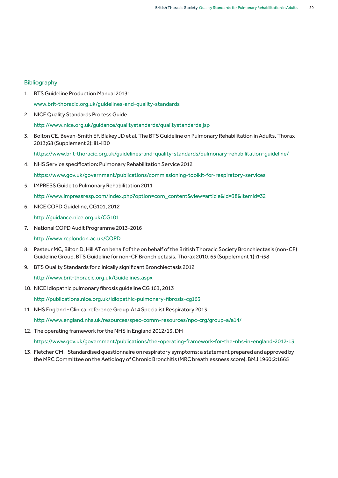#### Bibliography

1. BTS Guideline Production Manual 2013:

www.brit-thoracic.org.uk/guidelines-and-quality-standards

2. NICE Quality Standards Process Guide

http://www.nice.org.uk/guidance/qualitystandards/qualitystandards.jsp

3. Bolton CE, Bevan-Smith EF, Blakey JD et al. The BTS Guideline on Pulmonary Rehabilitation in Adults. Thorax 2013;68 (Supplement 2): ii1-ii30

https://www.brit-thoracic.org.uk/guidelines-and-quality-standards/pulmonary-rehabilitation-guideline/

4. NHS Service specification: Pulmonary Rehabilitation Service 2012

https://www.gov.uk/government/publications/commissioning-toolkit-for-respiratory-services

5. IMPRESS Guide to Pulmonary Rehabilitation 2011

http://www.impressresp.com/index.php?option=com\_content&view=article&id=38&Itemid=32

6. NICE COPD Guideline, CG101, 2012

http://guidance.nice.org.uk/CG101

7. National COPD Audit Programme 2013-2016

http://www.rcplondon.ac.uk/COPD

- 8. Pasteur MC, Bilton D, Hill AT on behalf of the on behalf of the British Thoracic Society Bronchiectasis (non-CF) Guideline Group. BTS Guideline for non-CF Bronchiectasis, Thorax 2010. 65 (Supplement 1):i1-i58
- 9. BTS Quality Standards for clinically significant Bronchiectasis 2012

http://www.brit-thoracic.org.uk/Guidelines.aspx

10. NICE Idiopathic pulmonary fibrosis guideline CG 163, 2013

http://publications.nice.org.uk/idiopathic-pulmonary-fibrosis-cg163

11. NHS England - Clinical reference Group A14 Specialist Respiratory 2013

http://www.england.nhs.uk/resources/spec-comm-resources/npc-crg/group-a/a14/

12. The operating framework for the NHS in England 2012/13, DH

https://www.gov.uk/government/publications/the-operating-framework-for-the-nhs-in-england-2012-13

13. Fletcher CM. Standardised questionnaire on respiratory symptoms: a statement prepared and approved by the MRC Committee on the Aetiology of Chronic Bronchitis (MRC breathlessness score). BMJ 1960;2:1665